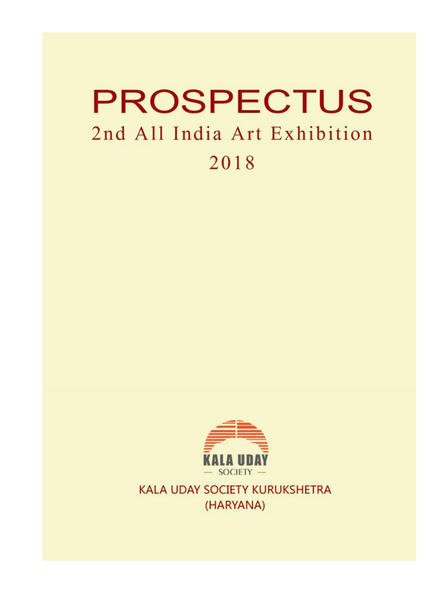# **PROSPECTUS** 2nd All India Art Exhibition 2018



KALA UDAY SOCIETY KURUKSHETRA (HARYANA)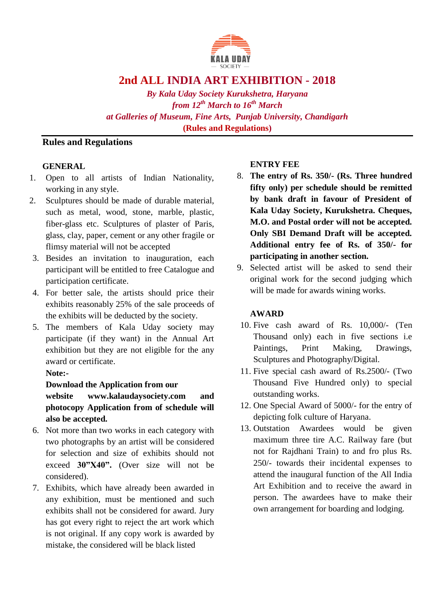

## **2nd ALL INDIA ART EXHIBITION - 2018**

*By Kala Uday Society Kurukshetra, Haryana from 12th March to 16th March at Galleries of Museum, Fine Arts, Punjab University, Chandigarh*  **(Rules and Regulations)**

## **Rules and Regulations**

#### **GENERAL**

- 1. Open to all artists of Indian Nationality, working in any style.
- 2. Sculptures should be made of durable material, such as metal, wood, stone, marble, plastic, fiber-glass etc. Sculptures of plaster of Paris, glass, clay, paper, cement or any other fragile or flimsy material will not be accepted
- 3. Besides an invitation to inauguration, each participant will be entitled to free Catalogue and participation certificate.
- 4. For better sale, the artists should price their exhibits reasonably 25% of the sale proceeds of the exhibits will be deducted by the society.
- 5. The members of Kala Uday society may participate (if they want) in the Annual Art exhibition but they are not eligible for the any award or certificate.

#### **Note:-**

### **Download the Application from our**

**website www.kalaudaysociety.com and photocopy Application from of schedule will also be accepted.** 

- 6. Not more than two works in each category with two photographs by an artist will be considered for selection and size of exhibits should not exceed **30"X40".** (Over size will not be considered).
- 7. Exhibits, which have already been awarded in any exhibition, must be mentioned and such exhibits shall not be considered for award. Jury has got every right to reject the art work which is not original. If any copy work is awarded by mistake, the considered will be black listed

### **ENTRY FEE**

- 8. **The entry of Rs. 350/- (Rs. Three hundred fifty only) per schedule should be remitted by bank draft in favour of President of Kala Uday Society, Kurukshetra. Cheques, M.O. and Postal order will not be accepted. Only SBI Demand Draft will be accepted. Additional entry fee of Rs. of 350/- for participating in another section.**
- 9. Selected artist will be asked to send their original work for the second judging which will be made for awards wining works.

### **AWARD**

- 10. Five cash award of Rs. 10,000/- (Ten Thousand only) each in five sections i.e Paintings, Print Making, Drawings, Sculptures and Photography/Digital.
- 11. Five special cash award of Rs.2500/- (Two Thousand Five Hundred only) to special outstanding works.
- 12. One Special Award of 5000/- for the entry of depicting folk culture of Haryana.
- 13. Outstation Awardees would be given maximum three tire A.C. Railway fare (but not for Rajdhani Train) to and fro plus Rs. 250/- towards their incidental expenses to attend the inaugural function of the All India Art Exhibition and to receive the award in person. The awardees have to make their own arrangement for boarding and lodging.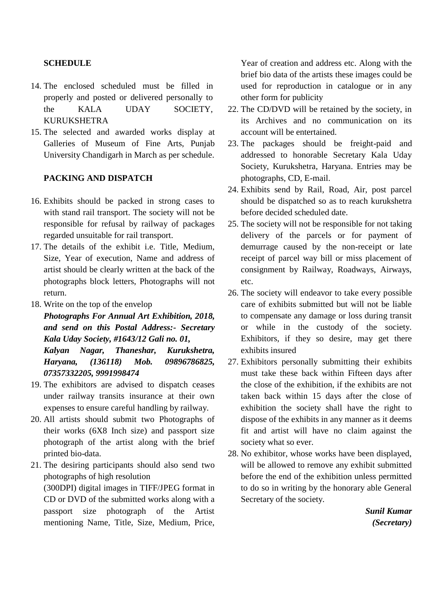#### **SCHEDULE**

- 14. The enclosed scheduled must be filled in properly and posted or delivered personally to the KALA UDAY SOCIETY, KURUKSHETRA
- 15. The selected and awarded works display at Galleries of Museum of Fine Arts, Punjab University Chandigarh in March as per schedule.

#### **PACKING AND DISPATCH**

- 16. Exhibits should be packed in strong cases to with stand rail transport. The society will not be responsible for refusal by railway of packages regarded unsuitable for rail transport.
- 17. The details of the exhibit i.e. Title, Medium, Size, Year of execution, Name and address of artist should be clearly written at the back of the photographs block letters, Photographs will not return.
- 18. Write on the top of the envelop

*Photographs For Annual Art Exhibition, 2018, and send on this Postal Address:- Secretary Kala Uday Society, #1643/12 Gali no. 01, Kalyan Nagar, Thaneshar, Kurukshetra,* 

*Haryana, (136118) Mob. 09896786825, 07357332205, 9991998474* 

- 19. The exhibitors are advised to dispatch ceases under railway transits insurance at their own expenses to ensure careful handling by railway.
- 20. All artists should submit two Photographs of their works (6X8 Inch size) and passport size photograph of the artist along with the brief printed bio-data.
- 21. The desiring participants should also send two photographs of high resolution (300DPI) digital images in TIFF/JPEG format in CD or DVD of the submitted works along with a passport size photograph of the Artist mentioning Name, Title, Size, Medium, Price,

Year of creation and address etc. Along with the brief bio data of the artists these images could be used for reproduction in catalogue or in any other form for publicity

- 22. The CD/DVD will be retained by the society, in its Archives and no communication on its account will be entertained.
- 23. The packages should be freight-paid and addressed to honorable Secretary Kala Uday Society, Kurukshetra, Haryana. Entries may be photographs, CD, E-mail.
- 24. Exhibits send by Rail, Road, Air, post parcel should be dispatched so as to reach kurukshetra before decided scheduled date.
- 25. The society will not be responsible for not taking delivery of the parcels or for payment of demurrage caused by the non-receipt or late receipt of parcel way bill or miss placement of consignment by Railway, Roadways, Airways, etc.
- 26. The society will endeavor to take every possible care of exhibits submitted but will not be liable to compensate any damage or loss during transit or while in the custody of the society. Exhibitors, if they so desire, may get there exhibits insured
- 27. Exhibitors personally submitting their exhibits must take these back within Fifteen days after the close of the exhibition, if the exhibits are not taken back within 15 days after the close of exhibition the society shall have the right to dispose of the exhibits in any manner as it deems fit and artist will have no claim against the society what so ever.
- 28. No exhibitor, whose works have been displayed, will be allowed to remove any exhibit submitted before the end of the exhibition unless permitted to do so in writing by the honorary able General Secretary of the society.

*Sunil Kumar (Secretary)*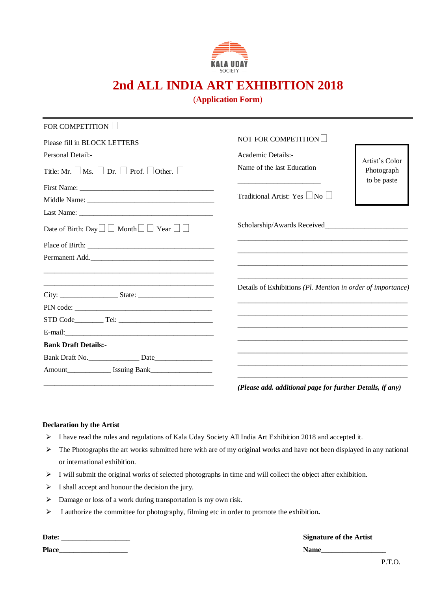

# **2nd ALL INDIA ART EXHIBITION 2018**

#### (**Application Form**)

| <b>FOR COMPETITION</b>                                             |                                                             |                |
|--------------------------------------------------------------------|-------------------------------------------------------------|----------------|
| Please fill in BLOCK LETTERS                                       | NOT FOR COMPETITION                                         |                |
| Personal Detail:-                                                  | Academic Details:-                                          | Artist's Color |
| Title: Mr. $\Box$ Ms. $\Box$ Dr. $\Box$ Prof. $\Box$ Other. $\Box$ | Name of the last Education                                  | Photograph     |
|                                                                    |                                                             | to be paste    |
|                                                                    | Traditional Artist: Yes $\vert$  No                         |                |
|                                                                    |                                                             |                |
| Date of Birth: Day $\Box$ Month $\Box$ Year $\Box$                 |                                                             |                |
|                                                                    |                                                             |                |
| Permanent Add.                                                     |                                                             |                |
|                                                                    | Details of Exhibitions (Pl. Mention in order of importance) |                |
|                                                                    |                                                             |                |
|                                                                    |                                                             |                |
| STD Code Tel: Tel:                                                 |                                                             |                |
|                                                                    |                                                             |                |
| <b>Bank Draft Details:-</b>                                        |                                                             |                |
| Bank Draft No.                                                     |                                                             |                |
|                                                                    |                                                             |                |
|                                                                    | (Please add. additional page for further Details, if any)   |                |

#### **Declaration by the Artist**

- $\triangleright$  I have read the rules and regulations of Kala Uday Society All India Art Exhibition 2018 and accepted it.
- The Photographs the art works submitted here with are of my original works and have not been displayed in any national or international exhibition.
- $\triangleright$  I will submit the original works of selected photographs in time and will collect the object after exhibition.
- $\triangleright$  I shall accept and honour the decision the jury.

 $\overline{\phantom{0}}$ 

- Damage or loss of a work during transportation is my own risk.
- I authorize the committee for photography, filming etc in order to promote the exhibition**.**

| Date:        | <b>Signature of the Artist</b> |
|--------------|--------------------------------|
| <b>Place</b> |                                |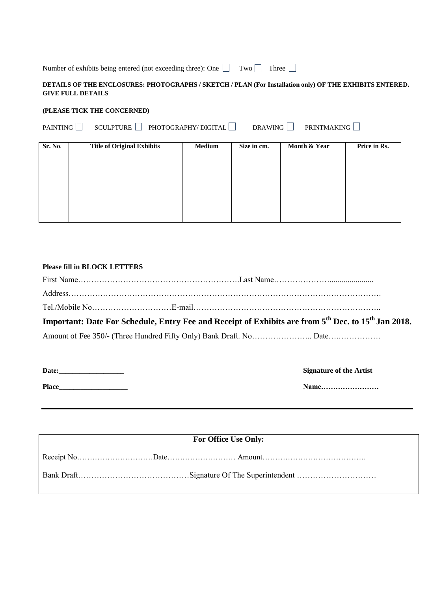Number of exhibits being entered (not exceeding three): One  $\Box$  Two  $\Box$  Three  $\Box$ 

#### **DETAILS OF THE ENCLOSURES: PHOTOGRAPHS / SKETCH / PLAN (For Installation only) OF THE EXHIBITS ENTERED. GIVE FULL DETAILS**

#### **(PLEASE TICK THE CONCERNED)**

| $SCULPTURE$ PHOTOGRAPHY/DIGITAL<br>DRAWING PRINTMAKING<br>PAINTING |                                   |               |             |              |              |
|--------------------------------------------------------------------|-----------------------------------|---------------|-------------|--------------|--------------|
| <b>Sr. No.</b>                                                     | <b>Title of Original Exhibits</b> | <b>Medium</b> | Size in cm. | Month & Year | Price in Rs. |
|                                                                    |                                   |               |             |              |              |
|                                                                    |                                   |               |             |              |              |
|                                                                    |                                   |               |             |              |              |
|                                                                    |                                   |               |             |              |              |
|                                                                    |                                   |               |             |              |              |
|                                                                    |                                   |               |             |              |              |

| <b>Please fill in BLOCK LETTERS</b> |                                                                                                                             |
|-------------------------------------|-----------------------------------------------------------------------------------------------------------------------------|
|                                     |                                                                                                                             |
|                                     |                                                                                                                             |
|                                     |                                                                                                                             |
|                                     | Important: Date For Schedule, Entry Fee and Receipt of Exhibits are from 5 <sup>th</sup> Dec. to 15 <sup>th</sup> Jan 2018. |
|                                     |                                                                                                                             |
|                                     |                                                                                                                             |

| Date:        |  |  |
|--------------|--|--|
| <b>Place</b> |  |  |

 $S$ **ignature of the Artist** 

**Place\_\_\_\_\_\_\_\_\_\_\_\_\_\_\_\_\_\_\_ Name……………………**

| <b>For Office Use Only:</b> |  |  |  |
|-----------------------------|--|--|--|
|                             |  |  |  |
|                             |  |  |  |
|                             |  |  |  |